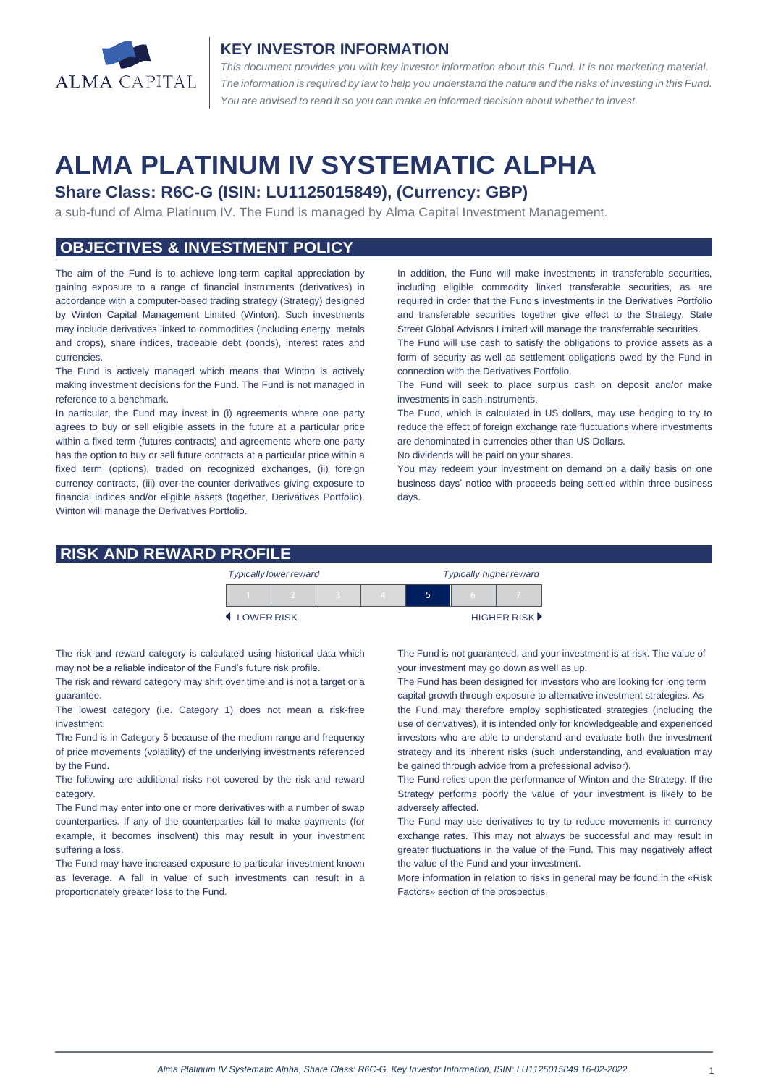

#### **KEY INVESTOR INFORMATION**

*This document provides you with key investor information about this Fund. It is not marketing material.*  The information is required by law to help you understand the nature and the risks of investing in this Fund. *You are advised to read it so you can make an informed decision about whether to invest.*

# **ALMA PLATINUM IV SYSTEMATIC ALPHA**

# **Share Class: R6C-G (ISIN: LU1125015849), (Currency: GBP)**

a sub-fund of Alma Platinum IV. The Fund is managed by Alma Capital Investment Management.

# **OBJECTIVES & INVESTMENT POLICY**

The aim of the Fund is to achieve long-term capital appreciation by gaining exposure to a range of financial instruments (derivatives) in accordance with a computer-based trading strategy (Strategy) designed by Winton Capital Management Limited (Winton). Such investments may include derivatives linked to commodities (including energy, metals and crops), share indices, tradeable debt (bonds), interest rates and currencies.

The Fund is actively managed which means that Winton is actively making investment decisions for the Fund. The Fund is not managed in reference to a benchmark.

In particular, the Fund may invest in (i) agreements where one party agrees to buy or sell eligible assets in the future at a particular price within a fixed term (futures contracts) and agreements where one party has the option to buy or sell future contracts at a particular price within a fixed term (options), traded on recognized exchanges, (ii) foreign currency contracts, (iii) over-the-counter derivatives giving exposure to financial indices and/or eligible assets (together, Derivatives Portfolio). Winton will manage the Derivatives Portfolio.

In addition, the Fund will make investments in transferable securities, including eligible commodity linked transferable securities, as are required in order that the Fund's investments in the Derivatives Portfolio and transferable securities together give effect to the Strategy. State Street Global Advisors Limited will manage the transferrable securities.

The Fund will use cash to satisfy the obligations to provide assets as a form of security as well as settlement obligations owed by the Fund in connection with the Derivatives Portfolio.

The Fund will seek to place surplus cash on deposit and/or make investments in cash instruments.

The Fund, which is calculated in US dollars, may use hedging to try to reduce the effect of foreign exchange rate fluctuations where investments are denominated in currencies other than US Dollars.

No dividends will be paid on your shares.

You may redeem your investment on demand on a daily basis on one business days' notice with proceeds being settled within three business days

#### **RISK AND REWARD PROFILE**

|            | <b>Typically lower reward</b> |  | <b>Typically higher reward</b> |  |  |                      |
|------------|-------------------------------|--|--------------------------------|--|--|----------------------|
|            |                               |  |                                |  |  |                      |
| LOWER RISK |                               |  |                                |  |  | <b>HIGHER RISK</b> ▶ |

The risk and reward category is calculated using historical data which may not be a reliable indicator of the Fund's future risk profile.

The risk and reward category may shift over time and is not a target or a guarantee.

The lowest category (i.e. Category 1) does not mean a risk-free investment.

The Fund is in Category 5 because of the medium range and frequency of price movements (volatility) of the underlying investments referenced by the Fund.

The following are additional risks not covered by the risk and reward category.

The Fund may enter into one or more derivatives with a number of swap counterparties. If any of the counterparties fail to make payments (for example, it becomes insolvent) this may result in your investment suffering a loss.

The Fund may have increased exposure to particular investment known as leverage. A fall in value of such investments can result in a proportionately greater loss to the Fund.

The Fund is not guaranteed, and your investment is at risk. The value of your investment may go down as well as up.

The Fund has been designed for investors who are looking for long term capital growth through exposure to alternative investment strategies. As

the Fund may therefore employ sophisticated strategies (including the use of derivatives), it is intended only for knowledgeable and experienced investors who are able to understand and evaluate both the investment strategy and its inherent risks (such understanding, and evaluation may be gained through advice from a professional advisor).

The Fund relies upon the performance of Winton and the Strategy. If the Strategy performs poorly the value of your investment is likely to be adversely affected.

The Fund may use derivatives to try to reduce movements in currency exchange rates. This may not always be successful and may result in greater fluctuations in the value of the Fund. This may negatively affect the value of the Fund and your investment.

More information in relation to risks in general may be found in the «Risk Factors» section of the prospectus.